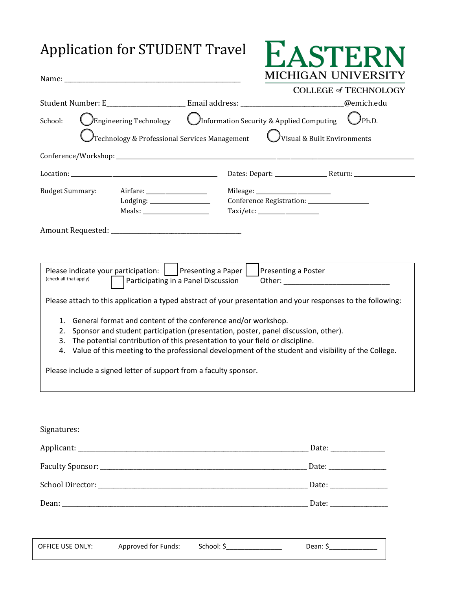# Application for STUDENT Travel

| Name: Name:                                                                               | MICHIGAN UNIVERSIT                                                                                                                                                                                                                                                                                                                                                                                                                                         |
|-------------------------------------------------------------------------------------------|------------------------------------------------------------------------------------------------------------------------------------------------------------------------------------------------------------------------------------------------------------------------------------------------------------------------------------------------------------------------------------------------------------------------------------------------------------|
|                                                                                           | <b>COLLEGE of TECHNOLOGY</b>                                                                                                                                                                                                                                                                                                                                                                                                                               |
|                                                                                           | Student Number: E_____________________________Email address: ______________________________@emich.edu                                                                                                                                                                                                                                                                                                                                                      |
| School:                                                                                   | Engineering Technology $\bigcirc$ Information Security & Applied Computing<br>$\mathcal{V}_{\text{Ph.D.}}$                                                                                                                                                                                                                                                                                                                                                 |
| Technology & Professional Services Management                                             | Visual & Built Environments                                                                                                                                                                                                                                                                                                                                                                                                                                |
|                                                                                           |                                                                                                                                                                                                                                                                                                                                                                                                                                                            |
|                                                                                           |                                                                                                                                                                                                                                                                                                                                                                                                                                                            |
| <b>Budget Summary:</b>                                                                    |                                                                                                                                                                                                                                                                                                                                                                                                                                                            |
|                                                                                           |                                                                                                                                                                                                                                                                                                                                                                                                                                                            |
|                                                                                           | Taxi/etc: _____________________                                                                                                                                                                                                                                                                                                                                                                                                                            |
|                                                                                           |                                                                                                                                                                                                                                                                                                                                                                                                                                                            |
|                                                                                           |                                                                                                                                                                                                                                                                                                                                                                                                                                                            |
| Please indicate your participation:     Presenting a Paper  <br>(check all that apply)    | Presenting a Poster<br>Participating in a Panel Discussion                                                                                                                                                                                                                                                                                                                                                                                                 |
| 1.<br>2.<br>3.<br>4.<br>Please include a signed letter of support from a faculty sponsor. | Please attach to this application a typed abstract of your presentation and your responses to the following:<br>General format and content of the conference and/or workshop.<br>Sponsor and student participation (presentation, poster, panel discussion, other).<br>The potential contribution of this presentation to your field or discipline.<br>Value of this meeting to the professional development of the student and visibility of the College. |
|                                                                                           |                                                                                                                                                                                                                                                                                                                                                                                                                                                            |
|                                                                                           |                                                                                                                                                                                                                                                                                                                                                                                                                                                            |
|                                                                                           |                                                                                                                                                                                                                                                                                                                                                                                                                                                            |
| Signatures:                                                                               |                                                                                                                                                                                                                                                                                                                                                                                                                                                            |

| <b>OFFICE USE ONLY:</b> | Approved for Funds: | School: S | Dean: S |
|-------------------------|---------------------|-----------|---------|
|                         |                     |           |         |